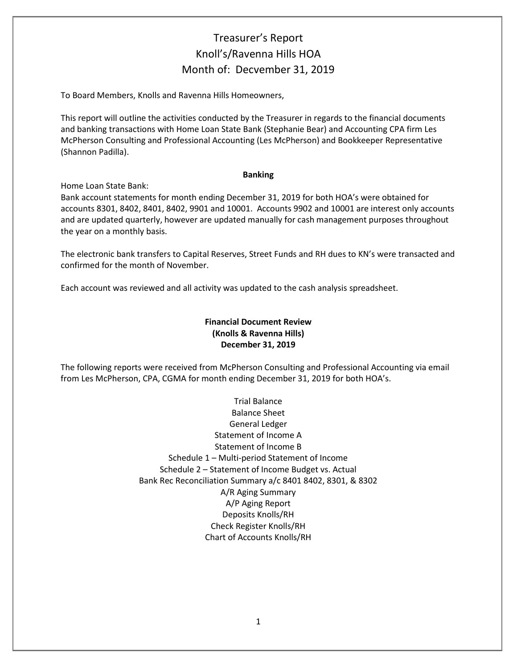## Treasurer's Report Knoll's/Ravenna Hills HOA Month of: Decvember 31, 2019

To Board Members, Knolls and Ravenna Hills Homeowners,

This report will outline the activities conducted by the Treasurer in regards to the financial documents and banking transactions with Home Loan State Bank (Stephanie Bear) and Accounting CPA firm Les McPherson Consulting and Professional Accounting (Les McPherson) and Bookkeeper Representative (Shannon Padilla).

#### **Banking**

Home Loan State Bank:

Bank account statements for month ending December 31, 2019 for both HOA's were obtained for accounts 8301, 8402, 8401, 8402, 9901 and 10001. Accounts 9902 and 10001 are interest only accounts and are updated quarterly, however are updated manually for cash management purposes throughout the year on a monthly basis.

The electronic bank transfers to Capital Reserves, Street Funds and RH dues to KN's were transacted and confirmed for the month of November.

Each account was reviewed and all activity was updated to the cash analysis spreadsheet.

### **Financial Document Review (Knolls & Ravenna Hills) December 31, 2019**

The following reports were received from McPherson Consulting and Professional Accounting via email from Les McPherson, CPA, CGMA for month ending December 31, 2019 for both HOA's.

> Trial Balance Balance Sheet General Ledger Statement of Income A Statement of Income B Schedule 1 – Multi-period Statement of Income Schedule 2 – Statement of Income Budget vs. Actual Bank Rec Reconciliation Summary a/c 8401 8402, 8301, & 8302 A/R Aging Summary A/P Aging Report Deposits Knolls/RH Check Register Knolls/RH Chart of Accounts Knolls/RH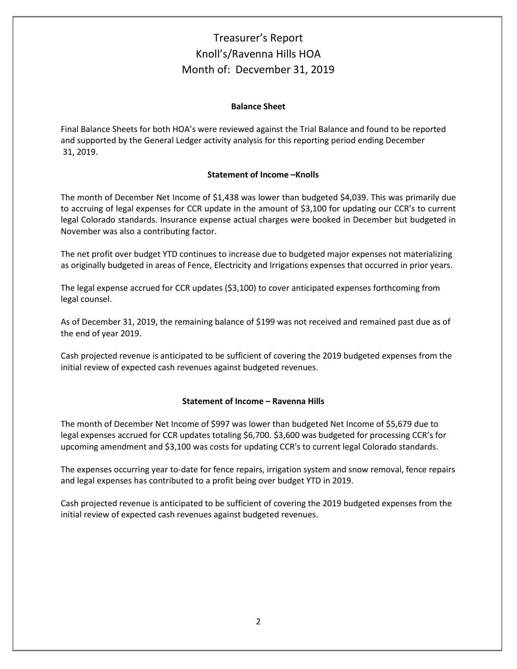# Treasurer's Report Knoll's/Ravenna Hills HOA Month of: Decvember 31, 2019

#### **Balance Sheet**

Final Balance Sheets for both HOA's were reviewed against the Trial Balance and found to be reported and supported by the General Ledger activity analysis for this reporting period ending December 31, 2019.

### **Statement of Income –Knolls**

The month of December Net Income of \$1,438 was lower than budgeted \$4,039. This was primarily due to accruing of legal expenses for CCR update in the amount of \$3,100 for updating our CCR's to current legal Colorado standards. Insurance expense actual charges were booked in December but budgeted in November was also a contributing factor.

The net profit over budget YTD continues to increase due to budgeted major expenses not materializing as originally budgeted in areas of Fence, Electricity and Irrigations expenses that occurred in prior years.

The legal expense accrued for CCR updates (\$3,100) to cover anticipated expenses forthcoming from legal counsel.

As of December 31, 2019, the remaining balance of \$199 was not received and remained past due as of the end of year 2019.

Cash projected revenue is anticipated to be sufficient of covering the 2019 budgeted expenses from the initial review of expected cash revenues against budgeted revenues.

#### **Statement of Income – Ravenna Hills**

The month of December Net Income of \$997 was lower than budgeted Net Income of \$5,679 due to legal expenses accrued for CCR updates totaling \$6,700. \$3,600 was budgeted for processing CCR's for upcoming amendment and \$3,100 was costs for updating CCR's to current legal Colorado standards.

The expenses occurring year to-date for fence repairs, irrigation system and snow removal, fence repairs and legal expenses has contributed to a profit being over budget YTD in 2019.

Cash projected revenue is anticipated to be sufficient of covering the 2019 budgeted expenses from the initial review of expected cash revenues against budgeted revenues.